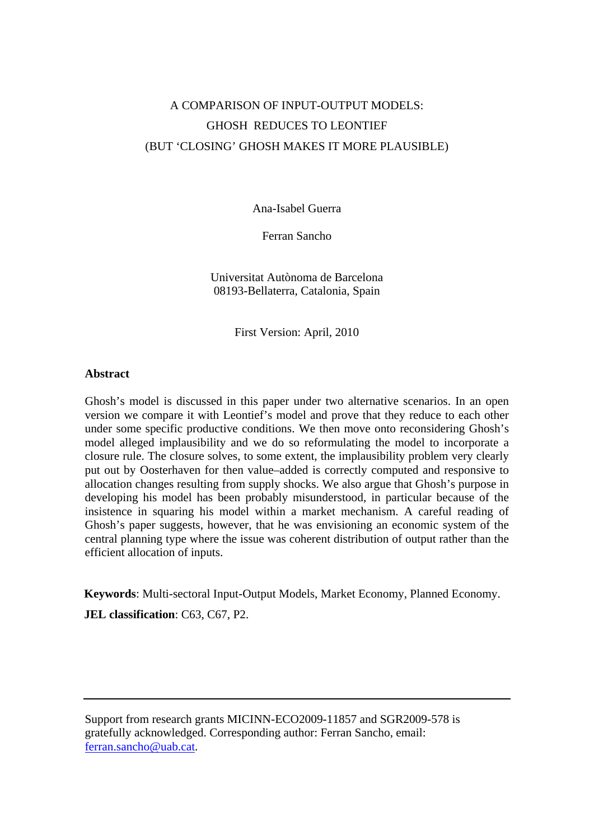# A COMPARISON OF INPUT-OUTPUT MODELS: GHOSH REDUCES TO LEONTIEF (BUT 'CLOSING' GHOSH MAKES IT MORE PLAUSIBLE)

Ana-Isabel Guerra

Ferran Sancho

Universitat Autònoma de Barcelona 08193-Bellaterra, Catalonia, Spain

First Version: April, 2010

#### **Abstract**

Ghosh's model is discussed in this paper under two alternative scenarios. In an open version we compare it with Leontief's model and prove that they reduce to each other under some specific productive conditions. We then move onto reconsidering Ghosh's model alleged implausibility and we do so reformulating the model to incorporate a closure rule. The closure solves, to some extent, the implausibility problem very clearly put out by Oosterhaven for then value–added is correctly computed and responsive to allocation changes resulting from supply shocks. We also argue that Ghosh's purpose in developing his model has been probably misunderstood, in particular because of the insistence in squaring his model within a market mechanism. A careful reading of Ghosh's paper suggests, however, that he was envisioning an economic system of the central planning type where the issue was coherent distribution of output rather than the efficient allocation of inputs.

**Keywords**: Multi-sectoral Input-Output Models, Market Economy, Planned Economy.

**JEL classification**: C63, C67, P2.

Support from research grants MICINN-ECO2009-11857 and SGR2009-578 is gratefully acknowledged. Corresponding author: Ferran Sancho, email: ferran.sancho@uab.cat.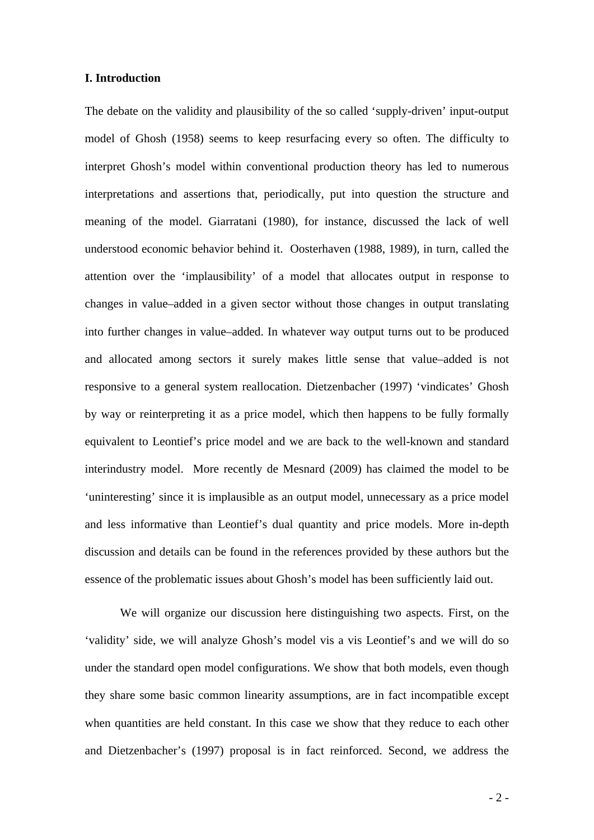### **I. Introduction**

The debate on the validity and plausibility of the so called 'supply-driven' input-output model of Ghosh (1958) seems to keep resurfacing every so often. The difficulty to interpret Ghosh's model within conventional production theory has led to numerous interpretations and assertions that, periodically, put into question the structure and meaning of the model. Giarratani (1980), for instance, discussed the lack of well understood economic behavior behind it. Oosterhaven (1988, 1989), in turn, called the attention over the 'implausibility' of a model that allocates output in response to changes in value–added in a given sector without those changes in output translating into further changes in value–added. In whatever way output turns out to be produced and allocated among sectors it surely makes little sense that value–added is not responsive to a general system reallocation. Dietzenbacher (1997) 'vindicates' Ghosh by way or reinterpreting it as a price model, which then happens to be fully formally equivalent to Leontief's price model and we are back to the well-known and standard interindustry model. More recently de Mesnard (2009) has claimed the model to be 'uninteresting' since it is implausible as an output model, unnecessary as a price model and less informative than Leontief's dual quantity and price models. More in-depth discussion and details can be found in the references provided by these authors but the essence of the problematic issues about Ghosh's model has been sufficiently laid out.

We will organize our discussion here distinguishing two aspects. First, on the 'validity' side, we will analyze Ghosh's model vis a vis Leontief's and we will do so under the standard open model configurations. We show that both models, even though they share some basic common linearity assumptions, are in fact incompatible except when quantities are held constant. In this case we show that they reduce to each other and Dietzenbacher's (1997) proposal is in fact reinforced. Second, we address the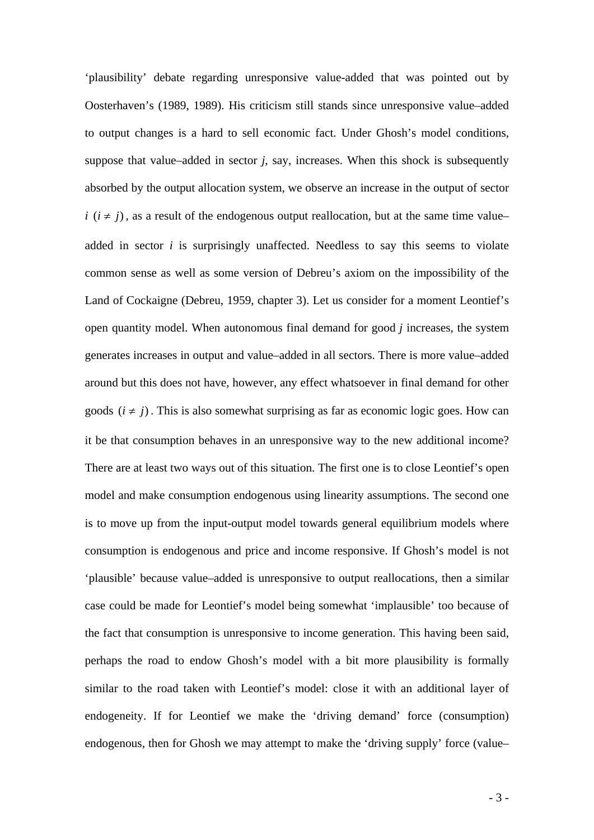'plausibility' debate regarding unresponsive value-added that was pointed out by Oosterhaven's (1989, 1989). His criticism still stands since unresponsive value–added to output changes is a hard to sell economic fact. Under Ghosh's model conditions, suppose that value–added in sector *j*, say, increases. When this shock is subsequently absorbed by the output allocation system, we observe an increase in the output of sector *i*  $(i \neq j)$ , as a result of the endogenous output reallocation, but at the same time value– added in sector *i* is surprisingly unaffected. Needless to say this seems to violate common sense as well as some version of Debreu's axiom on the impossibility of the Land of Cockaigne (Debreu, 1959, chapter 3). Let us consider for a moment Leontief's open quantity model. When autonomous final demand for good *j* increases, the system generates increases in output and value–added in all sectors. There is more value–added around but this does not have, however, any effect whatsoever in final demand for other goods  $(i \neq j)$ . This is also somewhat surprising as far as economic logic goes. How can it be that consumption behaves in an unresponsive way to the new additional income? There are at least two ways out of this situation. The first one is to close Leontief's open model and make consumption endogenous using linearity assumptions. The second one is to move up from the input-output model towards general equilibrium models where consumption is endogenous and price and income responsive. If Ghosh's model is not 'plausible' because value–added is unresponsive to output reallocations, then a similar case could be made for Leontief's model being somewhat 'implausible' too because of the fact that consumption is unresponsive to income generation. This having been said, perhaps the road to endow Ghosh's model with a bit more plausibility is formally similar to the road taken with Leontief's model: close it with an additional layer of endogeneity. If for Leontief we make the 'driving demand' force (consumption) endogenous, then for Ghosh we may attempt to make the 'driving supply' force (value–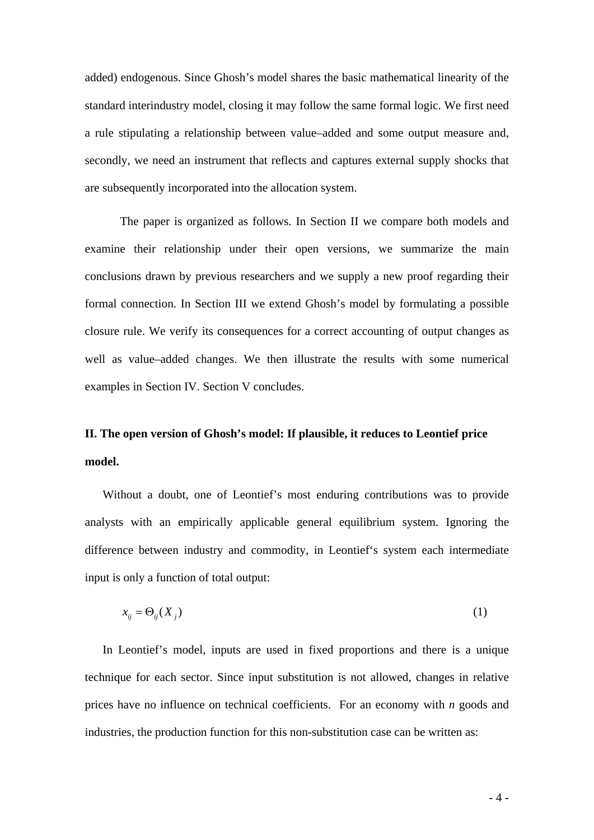added) endogenous. Since Ghosh's model shares the basic mathematical linearity of the standard interindustry model, closing it may follow the same formal logic. We first need a rule stipulating a relationship between value–added and some output measure and, secondly, we need an instrument that reflects and captures external supply shocks that are subsequently incorporated into the allocation system.

 The paper is organized as follows. In Section II we compare both models and examine their relationship under their open versions, we summarize the main conclusions drawn by previous researchers and we supply a new proof regarding their formal connection. In Section III we extend Ghosh's model by formulating a possible closure rule. We verify its consequences for a correct accounting of output changes as well as value–added changes. We then illustrate the results with some numerical examples in Section IV. Section V concludes.

# **II. The open version of Ghosh's model: If plausible, it reduces to Leontief price model.**

Without a doubt, one of Leontief's most enduring contributions was to provide analysts with an empirically applicable general equilibrium system. Ignoring the difference between industry and commodity, in Leontief's system each intermediate input is only a function of total output:

$$
x_{ij} = \Theta_{ij}(X_j) \tag{1}
$$

In Leontief's model, inputs are used in fixed proportions and there is a unique technique for each sector. Since input substitution is not allowed, changes in relative prices have no influence on technical coefficients. For an economy with *n* goods and industries, the production function for this non-substitution case can be written as: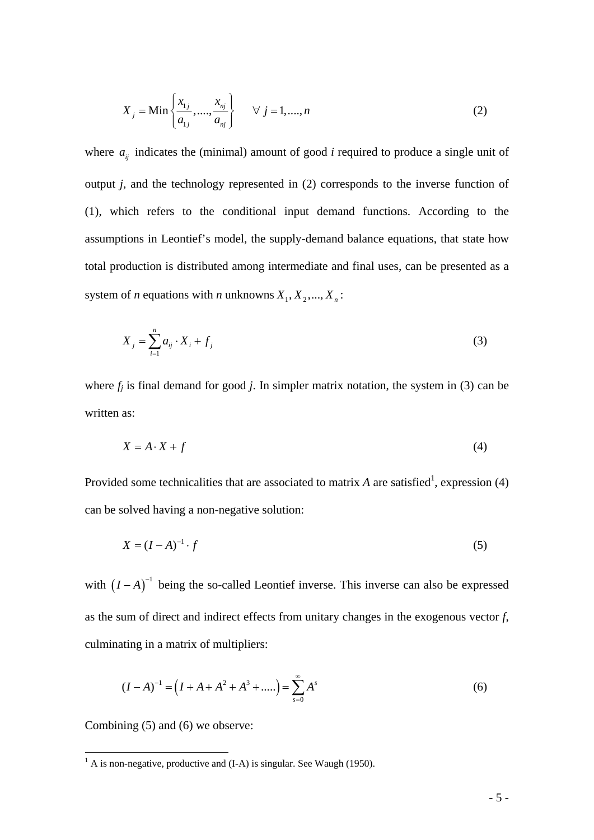$$
X_{j} = \min\left\{\frac{x_{1j}}{a_{1j}}, \dots, \frac{x_{nj}}{a_{nj}}\right\} \quad \forall j = 1, \dots, n
$$
 (2)

where  $a_{ij}$  indicates the (minimal) amount of good *i* required to produce a single unit of output *j,* and the technology represented in (2) corresponds to the inverse function of (1), which refers to the conditional input demand functions. According to the assumptions in Leontief's model, the supply-demand balance equations, that state how total production is distributed among intermediate and final uses, can be presented as a system of *n* equations with *n* unknowns  $X_1, X_2, ..., X_n$ :

$$
X_j = \sum_{i=1}^n a_{ij} \cdot X_i + f_j \tag{3}
$$

where  $f_j$  is final demand for good  $j$ . In simpler matrix notation, the system in (3) can be written as:

$$
X = A \cdot X + f \tag{4}
$$

Provided some technicalities that are associated to matrix  $A$  are satisfied<sup>1</sup>, expression (4) can be solved having a non-negative solution:

$$
X = (I - A)^{-1} \cdot f \tag{5}
$$

with  $(I - A)^{-1}$  being the so-called Leontief inverse. This inverse can also be expressed as the sum of direct and indirect effects from unitary changes in the exogenous vector *f*, culminating in a matrix of multipliers:

$$
(I - A)^{-1} = (I + A + A^2 + A^3 + \dots) = \sum_{s=0}^{\infty} A^s
$$
 (6)

Combining (5) and (6) we observe:

<sup>&</sup>lt;sup>1</sup> A is non-negative, productive and (I-A) is singular. See Waugh (1950).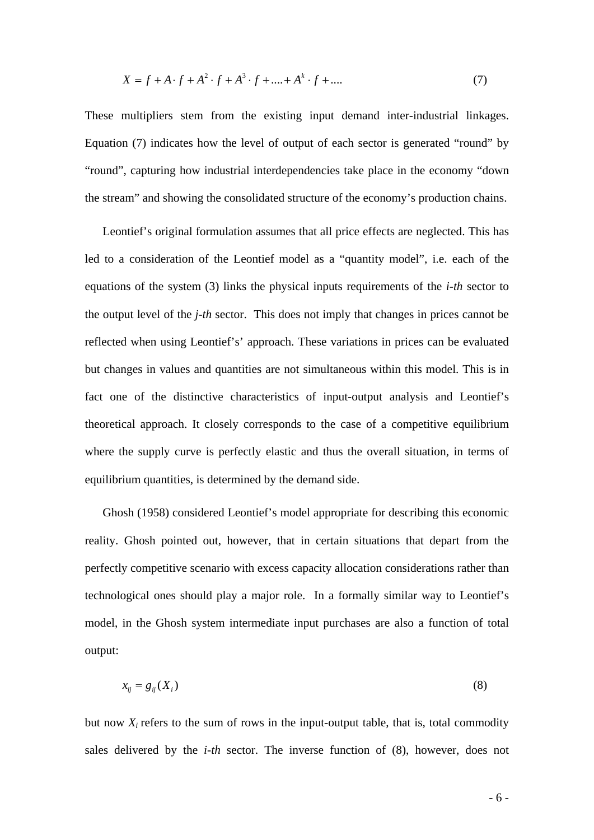$$
X = f + A \cdot f + A^2 \cdot f + A^3 \cdot f + \dots + A^k \cdot f + \dots
$$
 (7)

These multipliers stem from the existing input demand inter-industrial linkages. Equation (7) indicates how the level of output of each sector is generated "round" by "round", capturing how industrial interdependencies take place in the economy "down the stream" and showing the consolidated structure of the economy's production chains.

Leontief's original formulation assumes that all price effects are neglected. This has led to a consideration of the Leontief model as a "quantity model", i.e. each of the equations of the system (3) links the physical inputs requirements of the *i-th* sector to the output level of the *j-th* sector. This does not imply that changes in prices cannot be reflected when using Leontief's' approach. These variations in prices can be evaluated but changes in values and quantities are not simultaneous within this model. This is in fact one of the distinctive characteristics of input-output analysis and Leontief's theoretical approach. It closely corresponds to the case of a competitive equilibrium where the supply curve is perfectly elastic and thus the overall situation, in terms of equilibrium quantities, is determined by the demand side.

Ghosh (1958) considered Leontief's model appropriate for describing this economic reality. Ghosh pointed out, however, that in certain situations that depart from the perfectly competitive scenario with excess capacity allocation considerations rather than technological ones should play a major role. In a formally similar way to Leontief's model, in the Ghosh system intermediate input purchases are also a function of total output:

$$
x_{ij} = g_{ij}(X_i) \tag{8}
$$

but now  $X_i$  refers to the sum of rows in the input-output table, that is, total commodity sales delivered by the *i-th* sector. The inverse function of (8), however, does not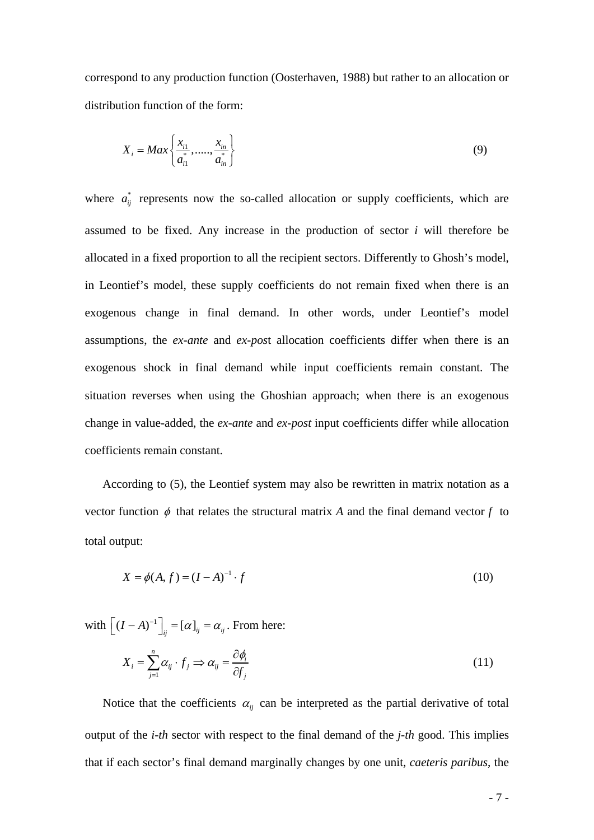correspond to any production function (Oosterhaven, 1988) but rather to an allocation or distribution function of the form:

$$
X_{i} = Max\left\{\frac{x_{i1}}{a_{i1}^{*}}, \dots, \frac{x_{in}}{a_{in}^{*}}\right\}
$$
 (9)

where  $a_{ij}^*$  represents now the so-called allocation or supply coefficients, which are assumed to be fixed. Any increase in the production of sector *i* will therefore be allocated in a fixed proportion to all the recipient sectors. Differently to Ghosh's model, in Leontief's model, these supply coefficients do not remain fixed when there is an exogenous change in final demand. In other words, under Leontief's model assumptions, the *ex-ante* and *ex-pos*t allocation coefficients differ when there is an exogenous shock in final demand while input coefficients remain constant. The situation reverses when using the Ghoshian approach; when there is an exogenous change in value-added, the *ex-ante* and *ex-post* input coefficients differ while allocation coefficients remain constant.

According to (5), the Leontief system may also be rewritten in matrix notation as a vector function  $\phi$  that relates the structural matrix *A* and the final demand vector *f* to total output:

$$
X = \phi(A, f) = (I - A)^{-1} \cdot f \tag{10}
$$

with  $\left[ (I - A)^{-1} \right]_{ij} = [\alpha]_{ij} = \alpha_{ij}$ . From here:

$$
X_i = \sum_{j=1}^n \alpha_{ij} \cdot f_j \Rightarrow \alpha_{ij} = \frac{\partial \phi_i}{\partial f_j} \tag{11}
$$

Notice that the coefficients  $\alpha_{ij}$  can be interpreted as the partial derivative of total output of the *i-th* sector with respect to the final demand of the *j-th* good. This implies that if each sector's final demand marginally changes by one unit, *caeteris paribus*, the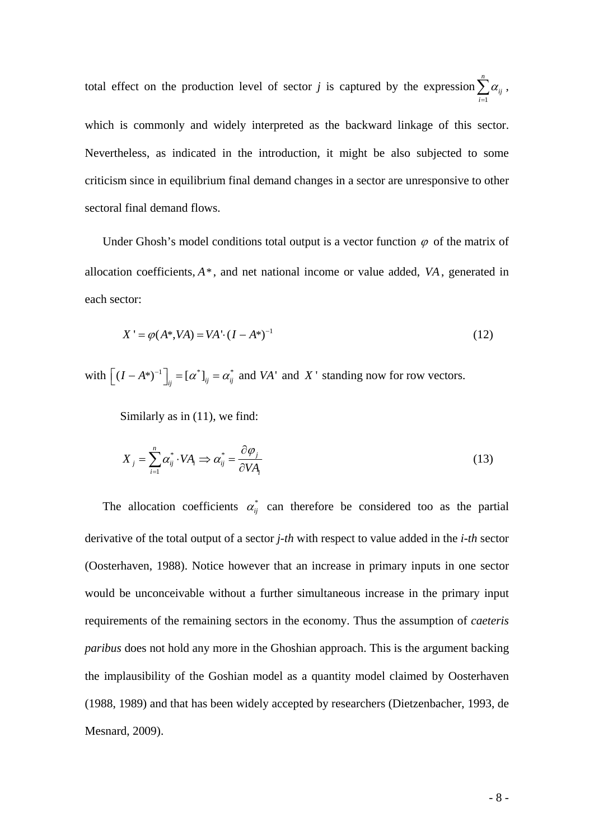total effect on the production level of sector *j* is captured by the expression 1 *n ij i* α  $\sum_{i=1} \alpha_{ij}$  , which is commonly and widely interpreted as the backward linkage of this sector. Nevertheless, as indicated in the introduction, it might be also subjected to some criticism since in equilibrium final demand changes in a sector are unresponsive to other sectoral final demand flows.

Under Ghosh's model conditions total output is a vector function  $\varphi$  of the matrix of allocation coefficients, *A*\*, and net national income or value added, *VA*, generated in each sector:

$$
X' = \varphi(A^*, VA) = VA \cdot (I - A^*)^{-1}
$$
\n(12)

with  $\left[ (I - A^*)^{-1} \right]_{ij} = [\alpha^*]_{ij} = \alpha^*_{ij}$  and *VA*' and *X*' standing now for row vectors.

Similarly as in (11), we find:

$$
X_j = \sum_{i=1}^n \alpha_{ij}^* \cdot VA_i \Rightarrow \alpha_{ij}^* = \frac{\partial \varphi_j}{\partial VA_i}
$$
 (13)

The allocation coefficients  $\alpha_{ij}^*$  can therefore be considered too as the partial derivative of the total output of a sector *j-th* with respect to value added in the *i-th* sector (Oosterhaven, 1988). Notice however that an increase in primary inputs in one sector would be unconceivable without a further simultaneous increase in the primary input requirements of the remaining sectors in the economy. Thus the assumption of *caeteris paribus* does not hold any more in the Ghoshian approach. This is the argument backing the implausibility of the Goshian model as a quantity model claimed by Oosterhaven (1988, 1989) and that has been widely accepted by researchers (Dietzenbacher, 1993, de Mesnard, 2009).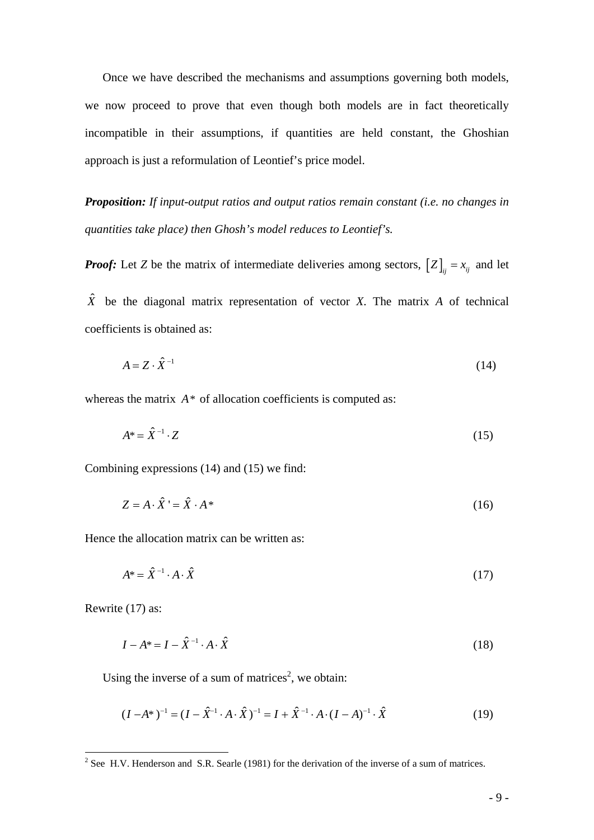Once we have described the mechanisms and assumptions governing both models, we now proceed to prove that even though both models are in fact theoretically incompatible in their assumptions, if quantities are held constant, the Ghoshian approach is just a reformulation of Leontief's price model.

*Proposition: If input-output ratios and output ratios remain constant (i.e. no changes in quantities take place) then Ghosh's model reduces to Leontief's.* 

*Proof:* Let *Z* be the matrix of intermediate deliveries among sectors,  $[Z]_{ij} = x_{ij}$  and let

 $\hat{X}$  be the diagonal matrix representation of vector *X*. The matrix *A* of technical coefficients is obtained as:

$$
A = Z \cdot \hat{X}^{-1} \tag{14}
$$

whereas the matrix  $A^*$  of allocation coefficients is computed as:

$$
A^* = \hat{X}^{-1} \cdot Z \tag{15}
$$

Combining expressions (14) and (15) we find:

$$
Z = A \cdot \hat{X}^{\dagger} = \hat{X} \cdot A^* \tag{16}
$$

Hence the allocation matrix can be written as:

$$
A^* = \hat{X}^{-1} \cdot A \cdot \hat{X} \tag{17}
$$

Rewrite (17) as:

$$
I - A^* = I - \hat{X}^{-1} \cdot A \cdot \hat{X} \tag{18}
$$

Using the inverse of a sum of matrices<sup>2</sup>, we obtain:

$$
(I - A^*)^{-1} = (I - \hat{X}^{-1} \cdot A \cdot \hat{X})^{-1} = I + \hat{X}^{-1} \cdot A \cdot (I - A)^{-1} \cdot \hat{X}
$$
(19)

<sup>&</sup>lt;sup>2</sup> See H.V. Henderson and S.R. Searle (1981) for the derivation of the inverse of a sum of matrices.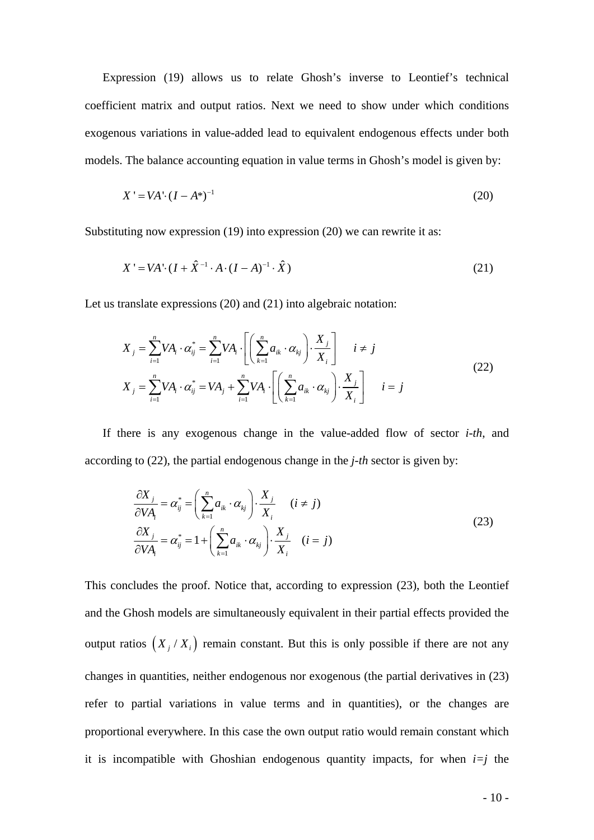Expression (19) allows us to relate Ghosh's inverse to Leontief's technical coefficient matrix and output ratios. Next we need to show under which conditions exogenous variations in value-added lead to equivalent endogenous effects under both models. The balance accounting equation in value terms in Ghosh's model is given by:

$$
X' = VA \cdot (I - A^*)^{-1}
$$
 (20)

Substituting now expression (19) into expression (20) we can rewrite it as:

$$
X' = VA \cdot (I + \hat{X}^{-1} \cdot A \cdot (I - A)^{-1} \cdot \hat{X})
$$
\n(21)

Let us translate expressions (20) and (21) into algebraic notation:

$$
X_j = \sum_{i=1}^n VA_i \cdot \alpha_{ij}^* = \sum_{i=1}^n VA_i \cdot \left[ \left( \sum_{k=1}^n a_{ik} \cdot \alpha_{kj} \right) \cdot \frac{X_j}{X_i} \right] \quad i \neq j
$$
  

$$
X_j = \sum_{i=1}^n VA_i \cdot \alpha_{ij}^* = VA_j + \sum_{i=1}^n VA_i \cdot \left[ \left( \sum_{k=1}^n a_{ik} \cdot \alpha_{kj} \right) \cdot \frac{X_j}{X_i} \right] \quad i = j
$$
 (22)

If there is any exogenous change in the value-added flow of sector *i-th*, and according to (22), the partial endogenous change in the *j-th* sector is given by:

$$
\frac{\partial X_j}{\partial VA_i} = \alpha_{ij}^* = \left(\sum_{k=1}^n a_{ik} \cdot \alpha_{kj}\right) \cdot \frac{X_j}{X_i} \quad (i \neq j)
$$
\n
$$
\frac{\partial X_j}{\partial VA_i} = \alpha_{ij}^* = 1 + \left(\sum_{k=1}^n a_{ik} \cdot \alpha_{kj}\right) \cdot \frac{X_j}{X_i} \quad (i = j)
$$
\n(23)

This concludes the proof. Notice that, according to expression (23), both the Leontief and the Ghosh models are simultaneously equivalent in their partial effects provided the output ratios  $(X_j / X_i)$  remain constant. But this is only possible if there are not any changes in quantities, neither endogenous nor exogenous (the partial derivatives in (23) refer to partial variations in value terms and in quantities), or the changes are proportional everywhere. In this case the own output ratio would remain constant which it is incompatible with Ghoshian endogenous quantity impacts, for when  $i=j$  the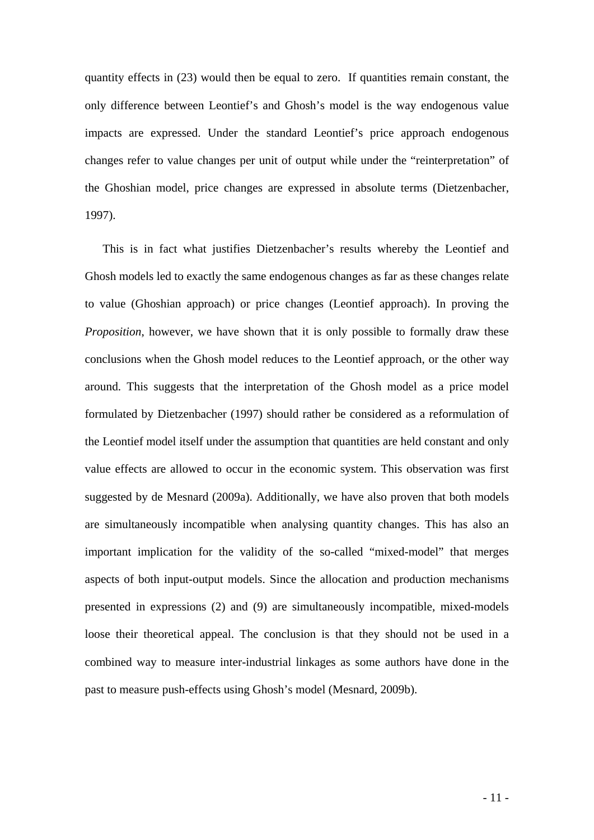quantity effects in (23) would then be equal to zero. If quantities remain constant, the only difference between Leontief's and Ghosh's model is the way endogenous value impacts are expressed. Under the standard Leontief's price approach endogenous changes refer to value changes per unit of output while under the "reinterpretation" of the Ghoshian model, price changes are expressed in absolute terms (Dietzenbacher, 1997).

This is in fact what justifies Dietzenbacher's results whereby the Leontief and Ghosh models led to exactly the same endogenous changes as far as these changes relate to value (Ghoshian approach) or price changes (Leontief approach). In proving the *Proposition*, however, we have shown that it is only possible to formally draw these conclusions when the Ghosh model reduces to the Leontief approach, or the other way around. This suggests that the interpretation of the Ghosh model as a price model formulated by Dietzenbacher (1997) should rather be considered as a reformulation of the Leontief model itself under the assumption that quantities are held constant and only value effects are allowed to occur in the economic system. This observation was first suggested by de Mesnard (2009a). Additionally, we have also proven that both models are simultaneously incompatible when analysing quantity changes. This has also an important implication for the validity of the so-called "mixed-model" that merges aspects of both input-output models. Since the allocation and production mechanisms presented in expressions (2) and (9) are simultaneously incompatible, mixed-models loose their theoretical appeal. The conclusion is that they should not be used in a combined way to measure inter-industrial linkages as some authors have done in the past to measure push-effects using Ghosh's model (Mesnard, 2009b).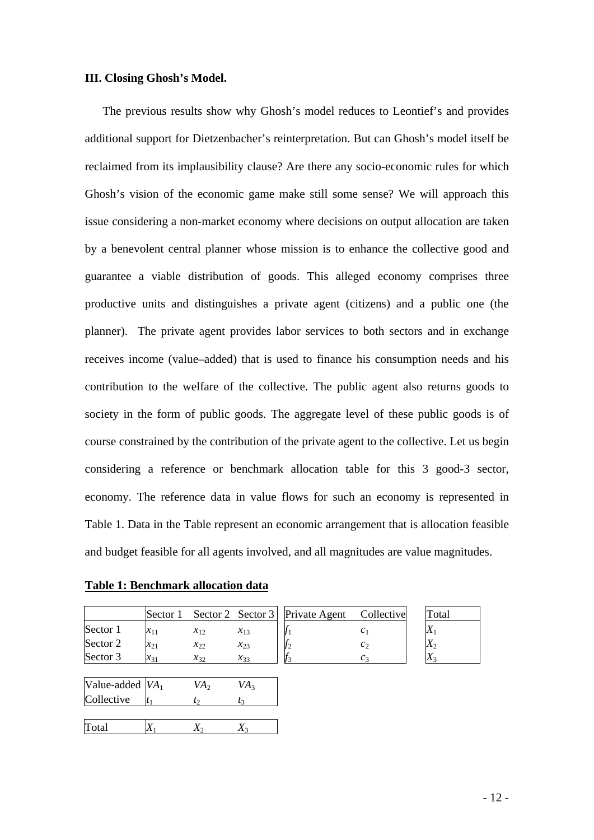## **III. Closing Ghosh's Model.**

The previous results show why Ghosh's model reduces to Leontief's and provides additional support for Dietzenbacher's reinterpretation. But can Ghosh's model itself be reclaimed from its implausibility clause? Are there any socio-economic rules for which Ghosh's vision of the economic game make still some sense? We will approach this issue considering a non-market economy where decisions on output allocation are taken by a benevolent central planner whose mission is to enhance the collective good and guarantee a viable distribution of goods. This alleged economy comprises three productive units and distinguishes a private agent (citizens) and a public one (the planner). The private agent provides labor services to both sectors and in exchange receives income (value–added) that is used to finance his consumption needs and his contribution to the welfare of the collective. The public agent also returns goods to society in the form of public goods. The aggregate level of these public goods is of course constrained by the contribution of the private agent to the collective. Let us begin considering a reference or benchmark allocation table for this 3 good-3 sector, economy. The reference data in value flows for such an economy is represented in Table 1. Data in the Table represent an economic arrangement that is allocation feasible and budget feasible for all agents involved, and all magnitudes are value magnitudes.

**Table 1: Benchmark allocation data**

|          | Sector 1 |             |             | Sector 2 Sector 3   Private Agent | Collective | Total     |
|----------|----------|-------------|-------------|-----------------------------------|------------|-----------|
| Sector 1 |          |             | $x_{13}$    |                                   |            | A         |
| Sector 2 | $x_{21}$ | $x_{22}$    | $x_{23}$    |                                   |            | $\Lambda$ |
| Sector 3 | $x_{31}$ | $\chi_{32}$ | $\chi_{33}$ |                                   |            | ∡         |

| Private Agent | Collective             |
|---------------|------------------------|
|               | $\mathcal{C}_1$        |
|               | $\mathcal{C}^{\gamma}$ |
|               |                        |

| Value-added $VA1$ | VA <sub>2</sub> | VA <sub>3</sub> |  |
|-------------------|-----------------|-----------------|--|
| Collective        | L٥              |                 |  |
|                   |                 |                 |  |
| Total             |                 |                 |  |

| Total         |  |
|---------------|--|
|               |  |
| $\mathcal{L}$ |  |
|               |  |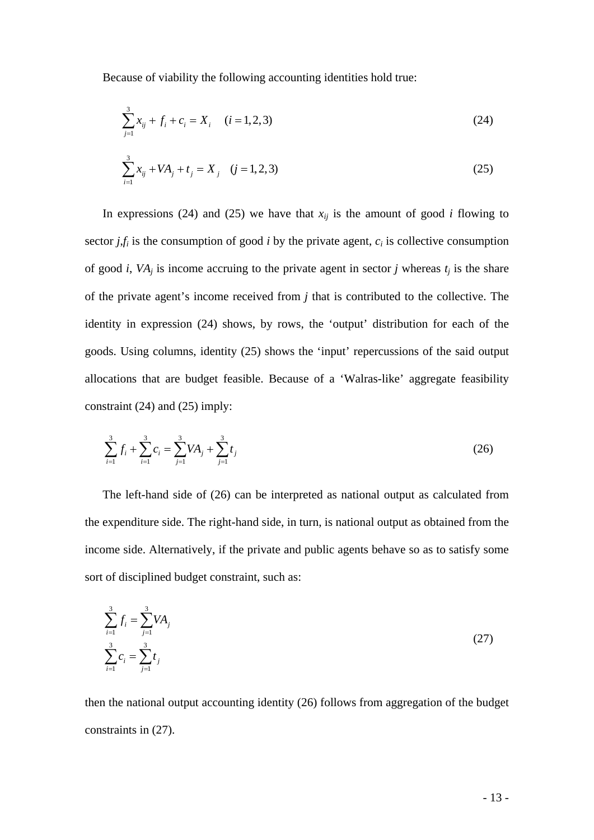Because of viability the following accounting identities hold true:

$$
\sum_{j=1}^{3} x_{ij} + f_i + c_i = X_i \quad (i = 1, 2, 3)
$$
 (24)

$$
\sum_{i=1}^{3} x_{ij} + VA_j + t_j = X_j \quad (j = 1, 2, 3)
$$
\n(25)

In expressions (24) and (25) we have that  $x_{ij}$  is the amount of good *i* flowing to sector  $j$ , $f_i$  is the consumption of good  $i$  by the private agent,  $c_i$  is collective consumption of good *i*,  $VA<sub>j</sub>$  is income accruing to the private agent in sector *j* whereas  $t<sub>j</sub>$  is the share of the private agent's income received from *j* that is contributed to the collective. The identity in expression (24) shows, by rows, the 'output' distribution for each of the goods. Using columns, identity (25) shows the 'input' repercussions of the said output allocations that are budget feasible. Because of a 'Walras-like' aggregate feasibility constraint (24) and (25) imply:

$$
\sum_{i=1}^{3} f_i + \sum_{i=1}^{3} c_i = \sum_{j=1}^{3} VA_j + \sum_{j=1}^{3} t_j
$$
 (26)

The left-hand side of (26) can be interpreted as national output as calculated from the expenditure side. The right-hand side, in turn, is national output as obtained from the income side. Alternatively, if the private and public agents behave so as to satisfy some sort of disciplined budget constraint, such as:

$$
\sum_{i=1}^{3} f_i = \sum_{j=1}^{3} VA_j
$$
\n
$$
\sum_{i=1}^{3} c_i = \sum_{j=1}^{3} t_j
$$
\n(27)

then the national output accounting identity (26) follows from aggregation of the budget constraints in (27).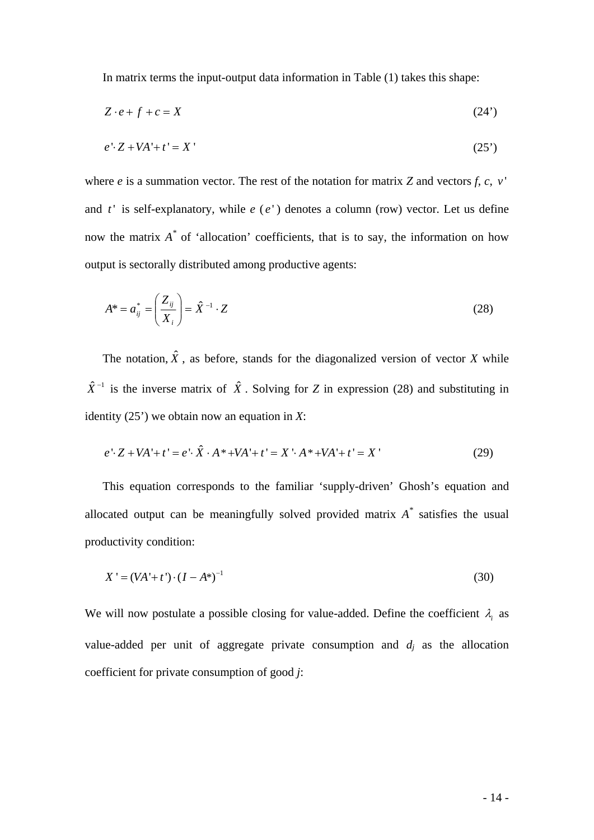In matrix terms the input-output data information in Table (1) takes this shape:

$$
Z \cdot e + f + c = X \tag{24'}
$$

$$
e' \cdot Z + VA' + t' = X'
$$
\n<sup>(25')</sup>

where *e* is a summation vector. The rest of the notation for matrix *Z* and vectors *f*, *c*, *v*<sup> $\cdot$ </sup> and  $t'$  is self-explanatory, while  $e(e')$  denotes a column (row) vector. Let us define now the matrix *A\** of 'allocation' coefficients, that is to say, the information on how output is sectorally distributed among productive agents:

$$
A^* = a_{ij}^* = \left(\frac{Z_{ij}}{X_i}\right) = \hat{X}^{-1} \cdot Z \tag{28}
$$

The notation,  $\hat{X}$ , as before, stands for the diagonalized version of vector *X* while  $\hat{X}^{-1}$  is the inverse matrix of  $\hat{X}$ . Solving for *Z* in expression (28) and substituting in identity (25') we obtain now an equation in *X*:

$$
e' \cdot Z + VA' + t' = e' \cdot \hat{X} \cdot A^* + VA' + t' = X' \cdot A^* + VA' + t' = X'
$$
 (29)

This equation corresponds to the familiar 'supply-driven' Ghosh's equation and allocated output can be meaningfully solved provided matrix  $A^*$  satisfies the usual productivity condition:

$$
X' = (VA' + t') \cdot (I - A^*)^{-1}
$$
\n(30)

We will now postulate a possible closing for value-added. Define the coefficient  $\lambda_i$  as value-added per unit of aggregate private consumption and  $d_j$  as the allocation coefficient for private consumption of good *j*: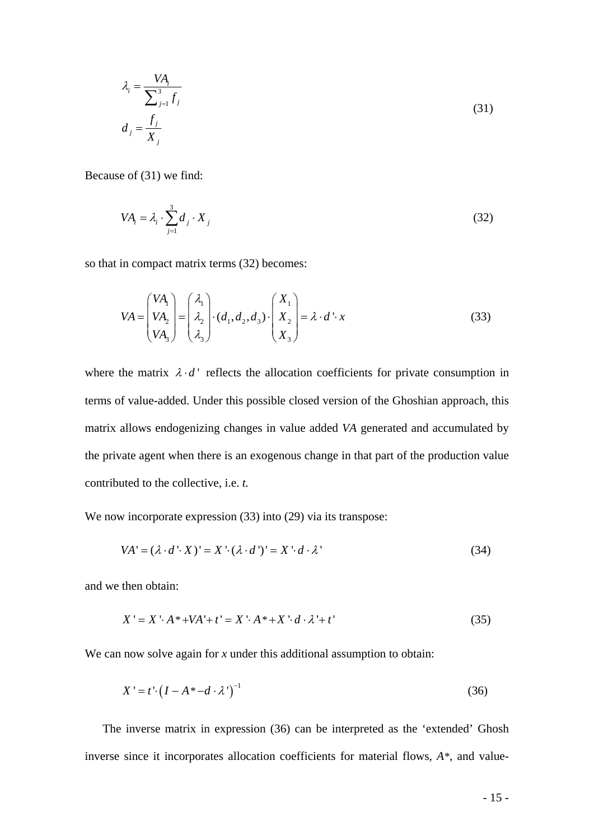$$
\lambda_i = \frac{VA_i}{\sum_{j=1}^{3} f_j}
$$
\n
$$
d_j = \frac{f_j}{X_j}
$$
\n(31)

Because of (31) we find:

$$
VA_i = \lambda_i \cdot \sum_{j=1}^{3} d_j \cdot X_j
$$
 (32)

so that in compact matrix terms (32) becomes:

$$
VA = \begin{pmatrix} VA_1 \\ VA_2 \\ VA_3 \end{pmatrix} = \begin{pmatrix} \lambda_1 \\ \lambda_2 \\ \lambda_3 \end{pmatrix} \cdot (d_1, d_2, d_3) \cdot \begin{pmatrix} X_1 \\ X_2 \\ X_3 \end{pmatrix} = \lambda \cdot d' \cdot x \tag{33}
$$

where the matrix  $\lambda \cdot d'$  reflects the allocation coefficients for private consumption in terms of value-added. Under this possible closed version of the Ghoshian approach, this matrix allows endogenizing changes in value added *VA* generated and accumulated by the private agent when there is an exogenous change in that part of the production value contributed to the collective, i.e. *t.* 

We now incorporate expression (33) into (29) via its transpose:

$$
VA' = (\lambda \cdot d' \cdot X)' = X' \cdot (\lambda \cdot d')' = X' \cdot d \cdot \lambda'
$$
\n(34)

and we then obtain:

$$
X' = X \cdot A * +VA' + t' = X \cdot A * + X \cdot d \cdot \lambda' + t'
$$
\n
$$
(35)
$$

We can now solve again for *x* under this additional assumption to obtain:

$$
X' = t' \cdot \left(I - A^* - d \cdot \lambda'\right)^{-1} \tag{36}
$$

The inverse matrix in expression (36) can be interpreted as the 'extended' Ghosh inverse since it incorporates allocation coefficients for material flows, *A\**, and value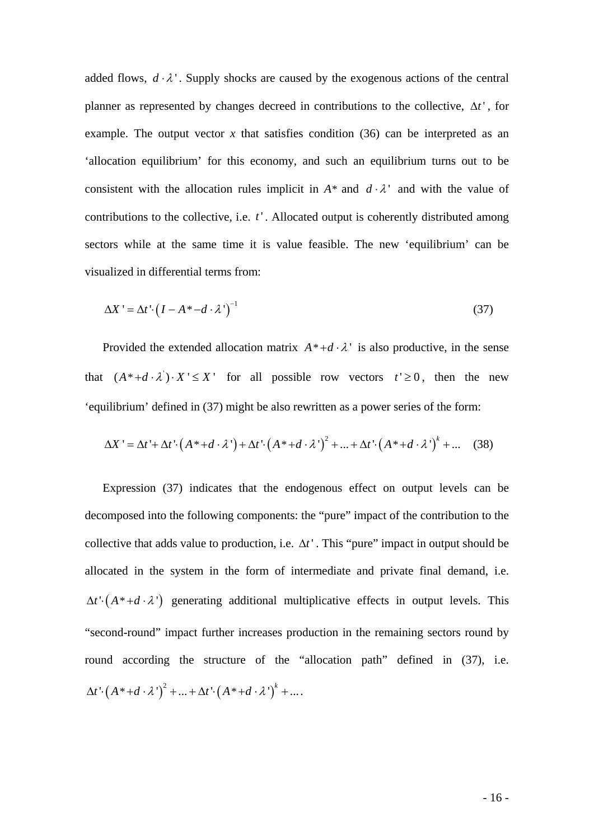added flows,  $d \cdot \lambda'$ . Supply shocks are caused by the exogenous actions of the central planner as represented by changes decreed in contributions to the collective, Δ*t* ' , for example. The output vector  $x$  that satisfies condition (36) can be interpreted as an 'allocation equilibrium' for this economy, and such an equilibrium turns out to be consistent with the allocation rules implicit in  $A^*$  and  $d \cdot \lambda$  and with the value of contributions to the collective, i.e. *t*'. Allocated output is coherently distributed among sectors while at the same time it is value feasible. The new 'equilibrium' can be visualized in differential terms from:

$$
\Delta X' = \Delta t' \cdot \left( I - A^* - d \cdot \lambda' \right)^{-1} \tag{37}
$$

Provided the extended allocation matrix  $A^* + d \cdot \lambda$  is also productive, in the sense that  $(A^* + d \cdot \lambda') \cdot X' \leq X'$  for all possible row vectors  $t' \geq 0$ , then the new 'equilibrium' defined in (37) might be also rewritten as a power series of the form:

$$
\Delta X' = \Delta t' + \Delta t' \cdot (A^* + d \cdot \lambda') + \Delta t' \cdot (A^* + d \cdot \lambda')^2 + ... + \Delta t' \cdot (A^* + d \cdot \lambda')^k + ... \quad (38)
$$

Expression (37) indicates that the endogenous effect on output levels can be decomposed into the following components: the "pure" impact of the contribution to the collective that adds value to production, i.e.  $\Delta t'$ . This "pure" impact in output should be allocated in the system in the form of intermediate and private final demand, i.e.  $\Delta t \cdot (A^* + d \cdot \lambda')$  generating additional multiplicative effects in output levels. This "second-round" impact further increases production in the remaining sectors round by round according the structure of the "allocation path" defined in (37), i.e.  $\Delta t \cdot (A^* + d \cdot \lambda')^2 + ... + \Delta t' \cdot (A^* + d \cdot \lambda')^k + ...$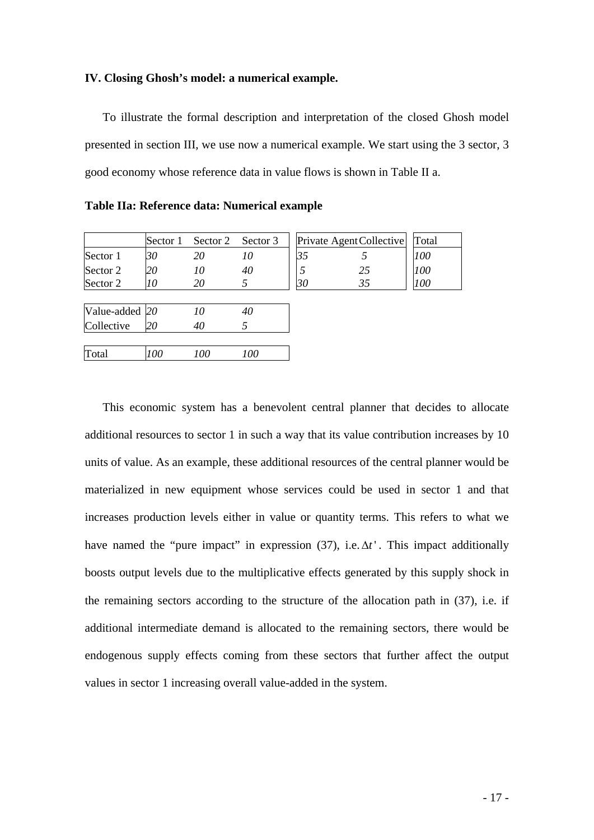#### **IV. Closing Ghosh's model: a numerical example.**

To illustrate the formal description and interpretation of the closed Ghosh model presented in section III, we use now a numerical example. We start using the 3 sector, 3 good economy whose reference data in value flows is shown in Table II a.

**Table IIa: Reference data: Numerical example**

|          | Sector 1 | Sector 2 Sector 3 | Private Agent Collective   Total |            |
|----------|----------|-------------------|----------------------------------|------------|
| Sector 1 | 30       |                   |                                  | <i>100</i> |
| Sector 2 |          | 40                |                                  | 100        |
| Sector 2 |          |                   |                                  |            |

| Value-added 20 |     | 10  | 40  |  |
|----------------|-----|-----|-----|--|
| Collective     | 20  | 40  |     |  |
|                |     |     |     |  |
| Total          | 100 | 100 | 100 |  |

This economic system has a benevolent central planner that decides to allocate additional resources to sector 1 in such a way that its value contribution increases by 10 units of value. As an example, these additional resources of the central planner would be materialized in new equipment whose services could be used in sector 1 and that increases production levels either in value or quantity terms. This refers to what we have named the "pure impact" in expression (37), i.e.  $\Delta t$ ". This impact additionally boosts output levels due to the multiplicative effects generated by this supply shock in the remaining sectors according to the structure of the allocation path in (37), i.e. if additional intermediate demand is allocated to the remaining sectors, there would be endogenous supply effects coming from these sectors that further affect the output values in sector 1 increasing overall value-added in the system.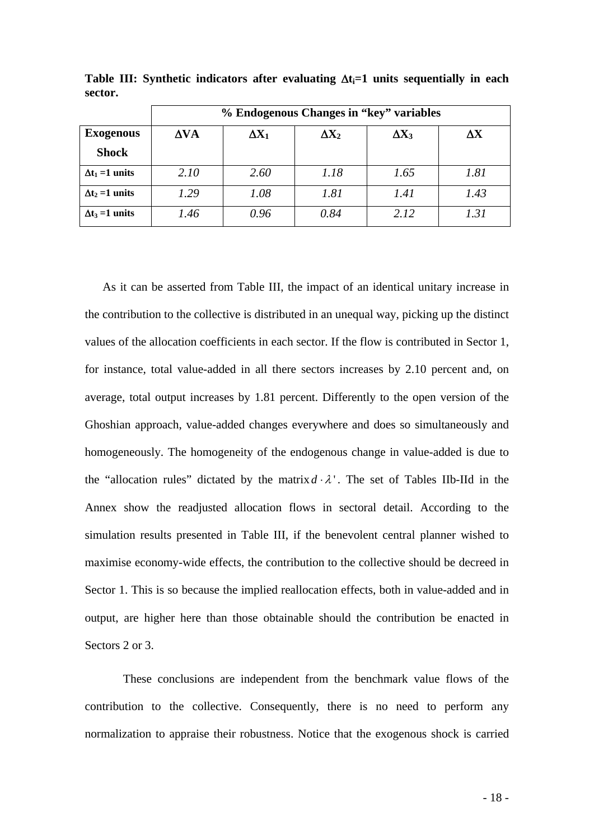|                        | % Endogenous Changes in "key" variables |              |              |              |                        |  |  |  |  |
|------------------------|-----------------------------------------|--------------|--------------|--------------|------------------------|--|--|--|--|
| <b>Exogenous</b>       | $\Delta VA$                             | $\Delta X_1$ | $\Delta X_2$ | $\Delta X_3$ | $\mathbf{A}\mathbf{X}$ |  |  |  |  |
| <b>Shock</b>           |                                         |              |              |              |                        |  |  |  |  |
| $\Delta t_1 = 1$ units | 2.10                                    | 2.60         | 1.18         | 1.65         | 1.81                   |  |  |  |  |
| $\Delta t_2 = 1$ units | 1.29                                    | 1.08         | 1.81         | 1.41         | 1.43                   |  |  |  |  |
| $\Delta t_3 = 1$ units | 1.46                                    | 0.96         | 0.84         | 2.12         | 1.31                   |  |  |  |  |

**Table III:** Synthetic indicators after evaluating  $\Delta t_i = 1$  units sequentially in each **sector.** 

As it can be asserted from Table III, the impact of an identical unitary increase in the contribution to the collective is distributed in an unequal way, picking up the distinct values of the allocation coefficients in each sector. If the flow is contributed in Sector 1, for instance, total value-added in all there sectors increases by 2.10 percent and, on average, total output increases by 1.81 percent. Differently to the open version of the Ghoshian approach, value-added changes everywhere and does so simultaneously and homogeneously. The homogeneity of the endogenous change in value-added is due to the "allocation rules" dictated by the matrix  $d \cdot \lambda$ ". The set of Tables IIb-IId in the Annex show the readjusted allocation flows in sectoral detail. According to the simulation results presented in Table III, if the benevolent central planner wished to maximise economy-wide effects, the contribution to the collective should be decreed in Sector 1. This is so because the implied reallocation effects, both in value-added and in output, are higher here than those obtainable should the contribution be enacted in Sectors 2 or 3.

 These conclusions are independent from the benchmark value flows of the contribution to the collective. Consequently, there is no need to perform any normalization to appraise their robustness. Notice that the exogenous shock is carried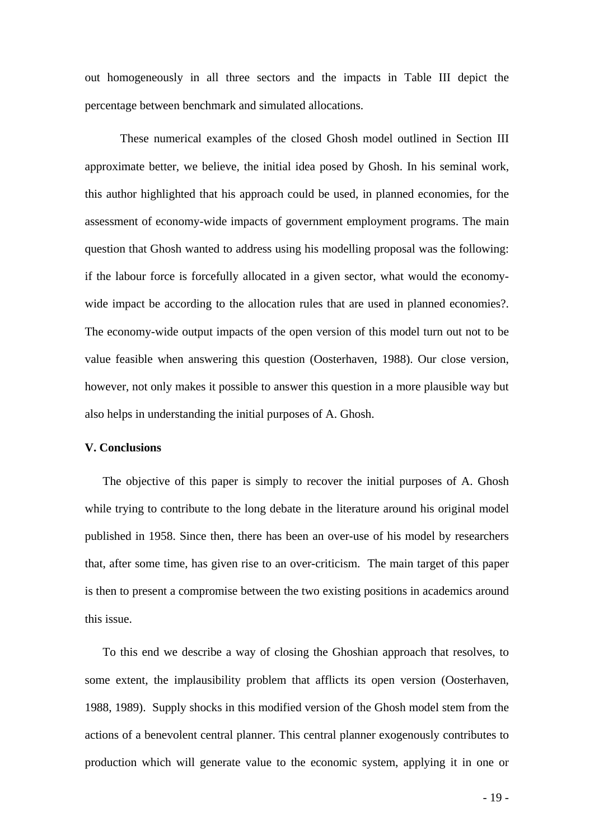out homogeneously in all three sectors and the impacts in Table III depict the percentage between benchmark and simulated allocations.

These numerical examples of the closed Ghosh model outlined in Section III approximate better, we believe, the initial idea posed by Ghosh. In his seminal work, this author highlighted that his approach could be used, in planned economies, for the assessment of economy-wide impacts of government employment programs. The main question that Ghosh wanted to address using his modelling proposal was the following: if the labour force is forcefully allocated in a given sector, what would the economywide impact be according to the allocation rules that are used in planned economies?. The economy-wide output impacts of the open version of this model turn out not to be value feasible when answering this question (Oosterhaven, 1988). Our close version, however, not only makes it possible to answer this question in a more plausible way but also helps in understanding the initial purposes of A. Ghosh.

#### **V. Conclusions**

The objective of this paper is simply to recover the initial purposes of A. Ghosh while trying to contribute to the long debate in the literature around his original model published in 1958. Since then, there has been an over-use of his model by researchers that, after some time, has given rise to an over-criticism. The main target of this paper is then to present a compromise between the two existing positions in academics around this issue.

To this end we describe a way of closing the Ghoshian approach that resolves, to some extent, the implausibility problem that afflicts its open version (Oosterhaven, 1988, 1989). Supply shocks in this modified version of the Ghosh model stem from the actions of a benevolent central planner. This central planner exogenously contributes to production which will generate value to the economic system, applying it in one or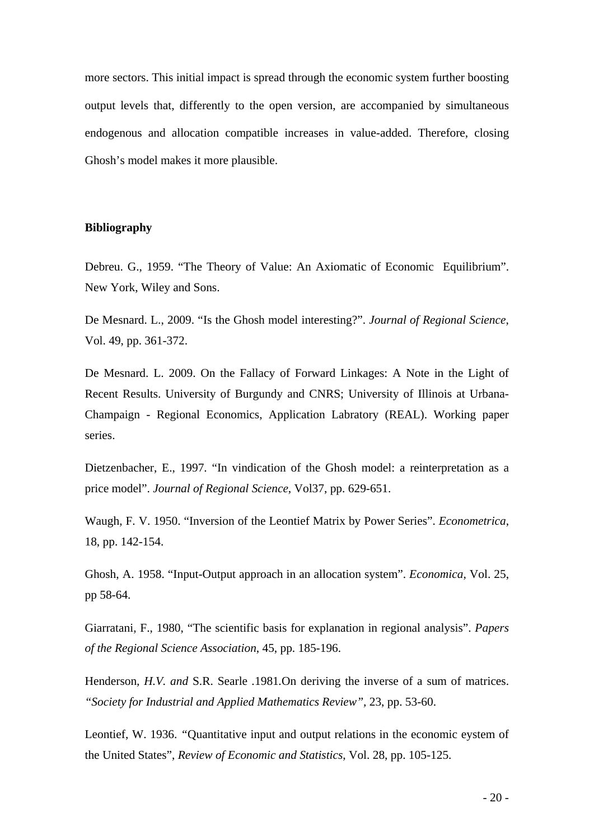more sectors. This initial impact is spread through the economic system further boosting output levels that, differently to the open version, are accompanied by simultaneous endogenous and allocation compatible increases in value-added. Therefore, closing Ghosh's model makes it more plausible.

## **Bibliography**

Debreu. G., 1959. "The Theory of Value: An Axiomatic of Economic Equilibrium". New York, Wiley and Sons.

De Mesnard. L., 2009. "Is the Ghosh model interesting?". *Journal of Regional Science*, Vol. 49, pp. 361-372.

De Mesnard. L. 2009. On the Fallacy of Forward Linkages: A Note in the Light of Recent Results. University of Burgundy and CNRS; University of Illinois at Urbana-Champaign - Regional Economics, Application Labratory (REAL). Working paper series.

Dietzenbacher, E., 1997. "In vindication of the Ghosh model: a reinterpretation as a price model". *Journal of Regional Science*, Vol37, pp. 629-651.

Waugh, F. V. 1950. "Inversion of the Leontief Matrix by Power Series". *Econometrica*, 18, pp. 142-154.

Ghosh, A. 1958. "Input-Output approach in an allocation system". *Economica*, Vol. 25, pp 58-64.

Giarratani, F., 1980, "The scientific basis for explanation in regional analysis". *Papers of the Regional Science Association*, 45, pp. 185-196.

Henderson*, H.V. and* S.R. Searle *.*1981*.*On deriving the inverse of a sum of matrices. *"Society for Industrial and Applied Mathematics Review",* 23, pp. 53-60.

Leontief, W. 1936. *"Quantitative input and output relations in the economic eystem of* the United States", *Review of Economic and Statistics*, Vol. 28, pp. 105-125.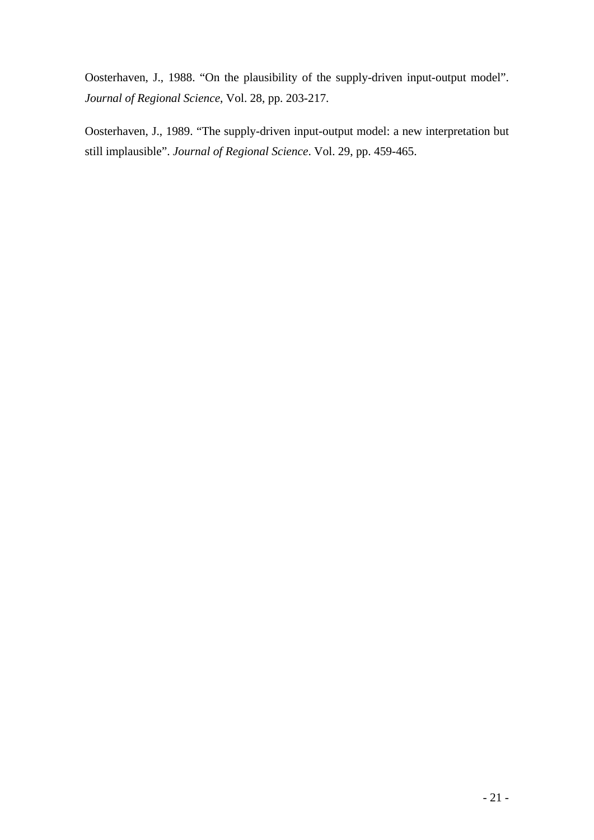Oosterhaven, J., 1988. "On the plausibility of the supply-driven input-output model". *Journal of Regional Science*, Vol. 28, pp. 203-217.

Oosterhaven, J., 1989. "The supply-driven input-output model: a new interpretation but still implausible". *Journal of Regional Science*. Vol. 29, pp. 459-465.